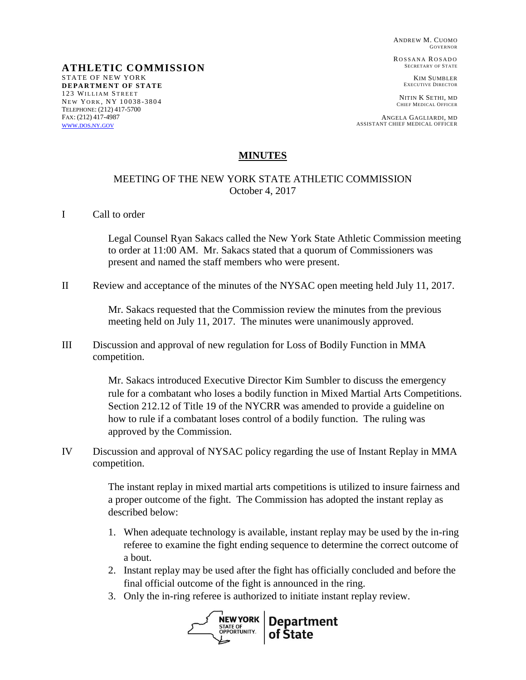ANDREW M. CUOMO GOVERNOR

ROSSANA ROSADO SECRETARY OF STATE

> KIM SUMBLER EXECUTIVE DIRECTOR

NITIN K SETHI, MD CHIEF MEDICAL OFFICER

ANGELA GAGLIARDI, MD ASSISTANT CHIEF MEDICAL OFFICER

#### **MINUTES**

#### MEETING OF THE NEW YORK STATE ATHLETIC COMMISSION October 4, 2017

I Call to order

STATE OF NEW YORK **DEPARTMENT OF STATE** 123 WILLIAM STREET NEW YORK, NY 10038-3804 TELEPHONE: (212) 417-5700 FAX: (212) 417-4987 [WWW](http://www.dos.ny.gov/).DOS.NY.GOV

**ATHLETIC COMMISSION**

Legal Counsel Ryan Sakacs called the New York State Athletic Commission meeting to order at 11:00 AM. Mr. Sakacs stated that a quorum of Commissioners was present and named the staff members who were present.

II Review and acceptance of the minutes of the NYSAC open meeting held July 11, 2017.

Mr. Sakacs requested that the Commission review the minutes from the previous meeting held on July 11, 2017. The minutes were unanimously approved.

III Discussion and approval of new regulation for Loss of Bodily Function in MMA competition.

> Mr. Sakacs introduced Executive Director Kim Sumbler to discuss the emergency rule for a combatant who loses a bodily function in Mixed Martial Arts Competitions. Section 212.12 of Title 19 of the NYCRR was amended to provide a guideline on how to rule if a combatant loses control of a bodily function. The ruling was approved by the Commission.

IV Discussion and approval of NYSAC policy regarding the use of Instant Replay in MMA competition.

> The instant replay in mixed martial arts competitions is utilized to insure fairness and a proper outcome of the fight. The Commission has adopted the instant replay as described below:

- 1. When adequate technology is available, instant replay may be used by the in-ring referee to examine the fight ending sequence to determine the correct outcome of a bout.
- 2. Instant replay may be used after the fight has officially concluded and before the final official outcome of the fight is announced in the ring.
- 3. Only the in-ring referee is authorized to initiate instant replay review.

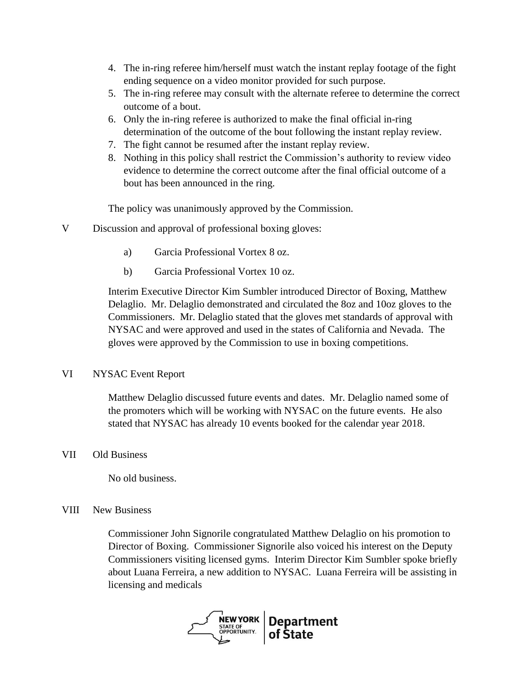- 4. The in-ring referee him/herself must watch the instant replay footage of the fight ending sequence on a video monitor provided for such purpose.
- 5. The in-ring referee may consult with the alternate referee to determine the correct outcome of a bout.
- 6. Only the in-ring referee is authorized to make the final official in-ring determination of the outcome of the bout following the instant replay review.
- 7. The fight cannot be resumed after the instant replay review.
- 8. Nothing in this policy shall restrict the Commission's authority to review video evidence to determine the correct outcome after the final official outcome of a bout has been announced in the ring.

The policy was unanimously approved by the Commission.

- V Discussion and approval of professional boxing gloves:
	- a) Garcia Professional Vortex 8 oz.
	- b) Garcia Professional Vortex 10 oz.

Interim Executive Director Kim Sumbler introduced Director of Boxing, Matthew Delaglio. Mr. Delaglio demonstrated and circulated the 8oz and 10oz gloves to the Commissioners. Mr. Delaglio stated that the gloves met standards of approval with NYSAC and were approved and used in the states of California and Nevada. The gloves were approved by the Commission to use in boxing competitions.

## VI NYSAC Event Report

Matthew Delaglio discussed future events and dates. Mr. Delaglio named some of the promoters which will be working with NYSAC on the future events. He also stated that NYSAC has already 10 events booked for the calendar year 2018.

## VII Old Business

No old business.

## VIII New Business

Commissioner John Signorile congratulated Matthew Delaglio on his promotion to Director of Boxing. Commissioner Signorile also voiced his interest on the Deputy Commissioners visiting licensed gyms. Interim Director Kim Sumbler spoke briefly about Luana Ferreira, a new addition to NYSAC. Luana Ferreira will be assisting in licensing and medicals